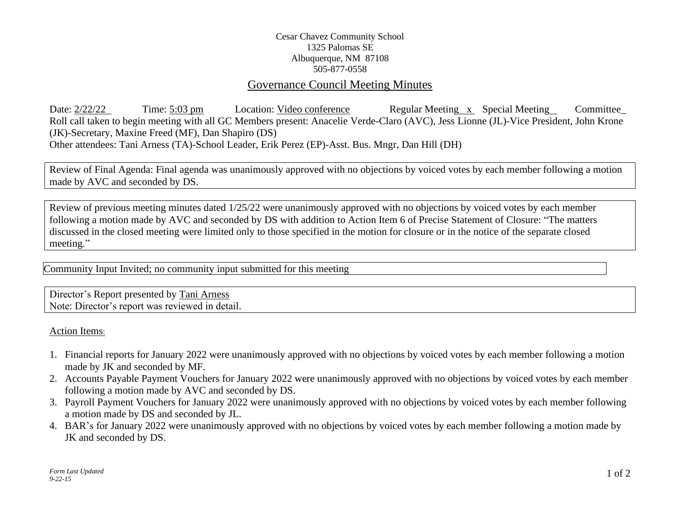## Cesar Chavez Community School 1325 Palomas SE Albuquerque, NM 87108 505-877-0558

## Governance Council Meeting Minutes

Date: 2/22/22 Time: 5:03 pm Location: Video conference Regular Meeting x Special Meeting Committee Roll call taken to begin meeting with all GC Members present: Anacelie Verde-Claro (AVC), Jess Lionne (JL)-Vice President, John Krone (JK)-Secretary, Maxine Freed (MF), Dan Shapiro (DS) Other attendees: Tani Arness (TA)-School Leader, Erik Perez (EP)-Asst. Bus. Mngr, Dan Hill (DH)

Review of Final Agenda: Final agenda was unanimously approved with no objections by voiced votes by each member following a motion made by AVC and seconded by DS.

Review of previous meeting minutes dated 1/25/22 were unanimously approved with no objections by voiced votes by each member following a motion made by AVC and seconded by DS with addition to Action Item 6 of Precise Statement of Closure: "The matters discussed in the closed meeting were limited only to those specified in the motion for closure or in the notice of the separate closed meeting."

Community Input Invited; no community input submitted for this meeting

Director's Report presented by Tani Arness Note: Director's report was reviewed in detail.

Action Items:

- 1. Financial reports for January 2022 were unanimously approved with no objections by voiced votes by each member following a motion made by JK and seconded by MF.
- 2. Accounts Payable Payment Vouchers for January 2022 were unanimously approved with no objections by voiced votes by each member following a motion made by AVC and seconded by DS.
- 3. Payroll Payment Vouchers for January 2022 were unanimously approved with no objections by voiced votes by each member following a motion made by DS and seconded by JL.
- 4. BAR's for January 2022 were unanimously approved with no objections by voiced votes by each member following a motion made by JK and seconded by DS.